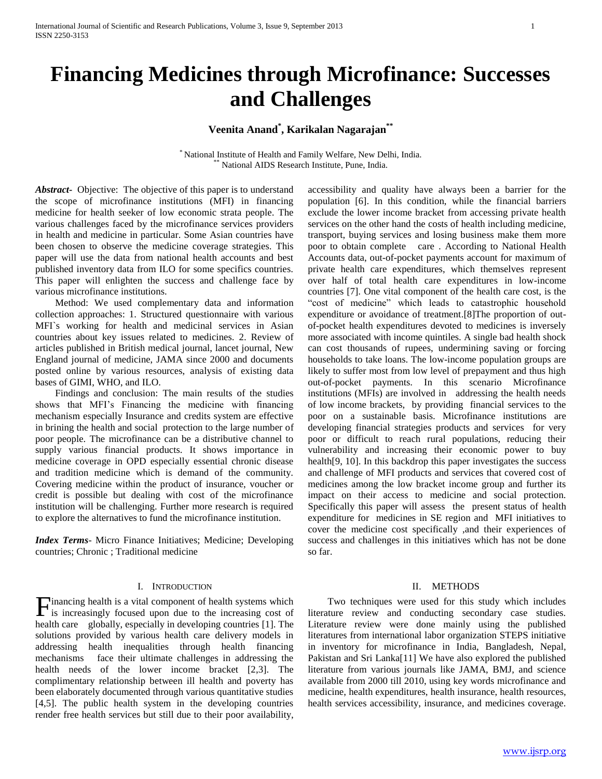# **Financing Medicines through Microfinance: Successes and Challenges**

# **Veenita Anand\* , Karikalan Nagarajan\*\***

\* National Institute of Health and Family Welfare, New Delhi, India. National AIDS Research Institute, Pune, India.

*Abstract***-** Objective: The objective of this paper is to understand the scope of microfinance institutions (MFI) in financing medicine for health seeker of low economic strata people. The various challenges faced by the microfinance services providers in health and medicine in particular. Some Asian countries have been chosen to observe the medicine coverage strategies. This paper will use the data from national health accounts and best published inventory data from ILO for some specifics countries. This paper will enlighten the success and challenge face by various microfinance institutions.

 Method: We used complementary data and information collection approaches: 1. Structured questionnaire with various MFI`s working for health and medicinal services in Asian countries about key issues related to medicines. 2. Review of articles published in British medical journal, lancet journal, New England journal of medicine, JAMA since 2000 and documents posted online by various resources, analysis of existing data bases of GIMI, WHO, and ILO.

 Findings and conclusion: The main results of the studies shows that MFI's Financing the medicine with financing mechanism especially Insurance and credits system are effective in brining the health and social protection to the large number of poor people. The microfinance can be a distributive channel to supply various financial products. It shows importance in medicine coverage in OPD especially essential chronic disease and tradition medicine which is demand of the community. Covering medicine within the product of insurance, voucher or credit is possible but dealing with cost of the microfinance institution will be challenging. Further more research is required to explore the alternatives to fund the microfinance institution.

*Index Terms*- Micro Finance Initiatives; Medicine; Developing countries; Chronic ; Traditional medicine

#### I. INTRODUCTION

Financing health is a vital component of health systems which is increasingly focused upon due to the increasing cost of is increasingly focused upon due to the increasing cost of health care globally, especially in developing countries [1]. The solutions provided by various health care delivery models in addressing health inequalities through health financing mechanisms face their ultimate challenges in addressing the health needs of the lower income bracket [2,3]. The complimentary relationship between ill health and poverty has been elaborately documented through various quantitative studies [4,5]. The public health system in the developing countries render free health services but still due to their poor availability,

accessibility and quality have always been a barrier for the population [6]. In this condition, while the financial barriers exclude the lower income bracket from accessing private health services on the other hand the costs of health including medicine, transport, buying services and losing business make them more poor to obtain complete care . According to National Health Accounts data, out-of-pocket payments account for maximum of private health care expenditures, which themselves represent over half of total health care expenditures in low-income countries [7]. One vital component of the health care cost, is the "cost of medicine" which leads to catastrophic household expenditure or avoidance of treatment.[8]The proportion of outof-pocket health expenditures devoted to medicines is inversely more associated with income quintiles. A single bad health shock can cost thousands of rupees, undermining saving or forcing households to take loans. The low-income population groups are likely to suffer most from low level of prepayment and thus high out-of-pocket payments. In this scenario Microfinance institutions (MFIs) are involved in addressing the health needs of low income brackets, by providing financial services to the poor on a sustainable basis. Microfinance institutions are developing financial strategies products and services for very poor or difficult to reach rural populations, reducing their vulnerability and increasing their economic power to buy health<sup>[9, 10]</sup>. In this backdrop this paper investigates the success and challenge of MFI products and services that covered cost of medicines among the low bracket income group and further its impact on their access to medicine and social protection. Specifically this paper will assess the present status of health expenditure for medicines in SE region and MFI initiatives to cover the medicine cost specifically ,and their experiences of success and challenges in this initiatives which has not be done so far.

#### II. METHODS

 Two techniques were used for this study which includes literature review and conducting secondary case studies. Literature review were done mainly using the published literatures from international labor organization STEPS initiative in inventory for microfinance in India, Bangladesh, Nepal, Pakistan and Sri Lanka[11] We have also explored the published literature from various journals like JAMA, BMJ, and science available from 2000 till 2010, using key words microfinance and medicine, health expenditures, health insurance, health resources, health services accessibility, insurance, and medicines coverage.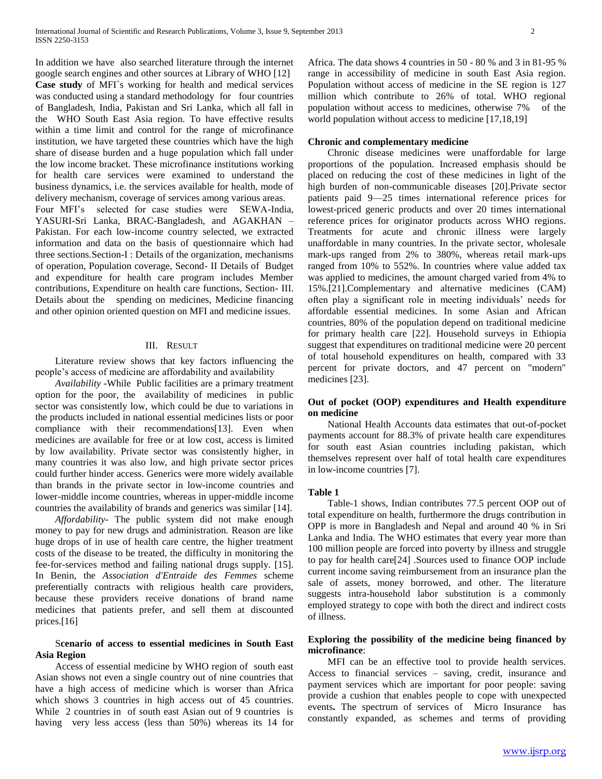In addition we have also searched literature through the internet google search engines and other sources at Library of WHO [12] **Case study** of MFI`s working for health and medical services was conducted using a standard methodology for four countries of Bangladesh, India, Pakistan and Sri Lanka, which all fall in the WHO South East Asia region. To have effective results within a time limit and control for the range of microfinance institution, we have targeted these countries which have the high share of disease burden and a huge population which fall under the low income bracket. These microfinance institutions working for health care services were examined to understand the business dynamics, i.e. the services available for health, mode of delivery mechanism, coverage of services among various areas. Four MFI's selected for case studies were SEWA-India, YASURI-Sri Lanka, BRAC-Bangladesh, and AGAKHAN – Pakistan. For each low-income country selected, we extracted information and data on the basis of questionnaire which had three sections.Section-I : Details of the organization, mechanisms of operation, Population coverage, Second- II Details of Budget and expenditure for health care program includes Member contributions, Expenditure on health care functions, Section- III. Details about the spending on medicines, Medicine financing and other opinion oriented question on MFI and medicine issues.

## III. RESULT

 Literature review shows that key factors influencing the people's access of medicine are affordability and availability

 *Availability -*WhilePublic facilities are a primary treatment option for the poor, the availability of medicines in public sector was consistently low, which could be due to variations in the products included in national essential medicines lists or poor compliance with their recommendations[13]. Even when medicines are available for free or at low cost, access is limited by low availability. Private sector was consistently higher, in many countries it was also low, and high private sector prices could further hinder access. Generics were more widely available than brands in the private sector in low-income countries and lower-middle income countries, whereas in upper-middle income countries the availability of brands and generics was similar [14].

 *Affordability*- The public system did not make enough money to pay for new drugs and administration. Reason are like huge drops of in use of health care centre, the higher treatment costs of the disease to be treated, the difficulty in monitoring the fee-for-services method and failing national drugs supply. [15]. In Benin, the *Association d'Entraide des Femmes* scheme preferentially contracts with religious health care providers, because these providers receive donations of brand name medicines that patients prefer, and sell them at discounted prices.[16]

## S**cenario of access to essential medicines in South East Asia Region**

 Access of essential medicine by WHO region of south east Asian shows not even a single country out of nine countries that have a high access of medicine which is worser than Africa which shows 3 countries in high access out of 45 countries. While 2 countries in of south east Asian out of 9 countries is having very less access (less than 50%) whereas its 14 for

Africa. The data shows 4 countries in 50 - 80 % and 3 in 81-95 % range in accessibility of medicine in south East Asia region. Population without access of medicine in the SE region is 127 million which contribute to 26% of total. WHO regional population without access to medicines, otherwise 7% of the world population without access to medicine [17,18,19]

#### **Chronic and complementary medicine**

 Chronic disease medicines were unaffordable for large proportions of the population. Increased emphasis should be placed on reducing the cost of these medicines in light of the high burden of non-communicable diseases [20].Private sector patients paid 9—25 times international reference prices for lowest-priced generic products and over 20 times international reference prices for originator products across WHO regions. Treatments for acute and chronic illness were largely unaffordable in many countries. In the private sector, wholesale mark-ups ranged from 2% to 380%, whereas retail mark-ups ranged from 10% to 552%. In countries where value added tax was applied to medicines, the amount charged varied from 4% to 15%.[21].Complementary and alternative medicines (CAM) often play a significant role in meeting individuals' needs for affordable essential medicines. In some Asian and African countries, 80% of the population depend on traditional medicine for primary health care [22]. Household surveys in Ethiopia suggest that expenditures on traditional medicine were 20 percent of total household expenditures on health, compared with 33 percent for private doctors, and 47 percent on "modern" medicines [23].

## **Out of pocket (OOP) expenditures and Health expenditure on medicine**

 National Health Accounts data estimates that out-of-pocket payments account for 88.3% of private health care expenditures for south east Asian countries including pakistan, which themselves represent over half of total health care expenditures in low-income countries [7].

#### **Table 1**

 Table-1 shows, Indian contributes 77.5 percent OOP out of total expenditure on health, furthermore the drugs contribution in OPP is more in Bangladesh and Nepal and around 40 % in Sri Lanka and India. The WHO estimates that every year more than 100 million people are forced into poverty by illness and struggle to pay for health care[24] .Sources used to finance OOP include current income saving reimbursement from an insurance plan the sale of assets, money borrowed, and other. The literature suggests intra-household labor substitution is a commonly employed strategy to cope with both the direct and indirect costs of illness.

## **Exploring the possibility of the medicine being financed by microfinance**:

 MFI can be an effective tool to provide health services. Access to financial services – saving, credit, insurance and payment services which are important for poor people: saving provide a cushion that enables people to cope with unexpected events**.** The spectrum of services of Micro Insurance has constantly expanded, as schemes and terms of providing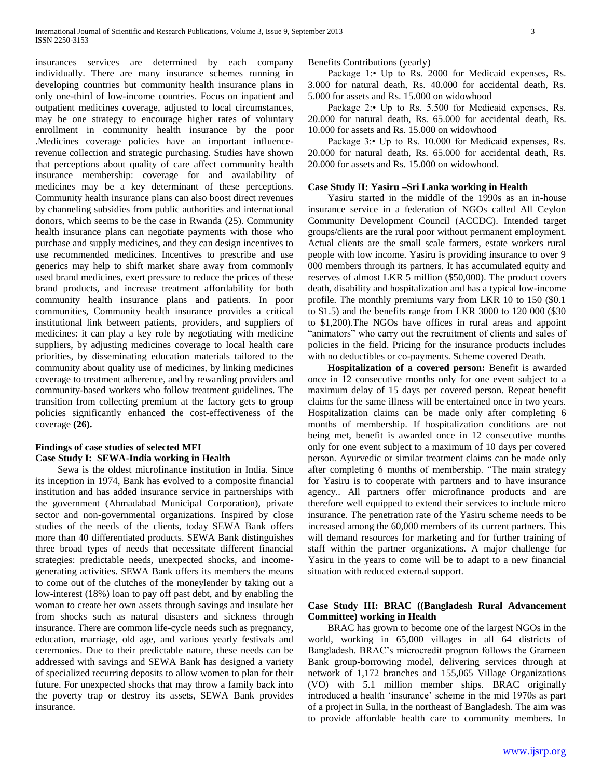insurances services are determined by each company individually. There are many insurance schemes running in developing countries but community health insurance plans in only one-third of low-income countries. Focus on inpatient and outpatient medicines coverage, adjusted to local circumstances, may be one strategy to encourage higher rates of voluntary enrollment in community health insurance by the poor .Medicines coverage policies have an important influencerevenue collection and strategic purchasing. Studies have shown that perceptions about quality of care affect community health insurance membership: coverage for and availability of medicines may be a key determinant of these perceptions. Community health insurance plans can also boost direct revenues by channeling subsidies from public authorities and international donors, which seems to be the case in Rwanda (25). Community health insurance plans can negotiate payments with those who purchase and supply medicines, and they can design incentives to use recommended medicines. Incentives to prescribe and use generics may help to shift market share away from commonly used brand medicines, exert pressure to reduce the prices of these brand products, and increase treatment affordability for both community health insurance plans and patients. In poor communities, Community health insurance provides a critical institutional link between patients, providers, and suppliers of medicines: it can play a key role by negotiating with medicine suppliers, by adjusting medicines coverage to local health care priorities, by disseminating education materials tailored to the community about quality use of medicines, by linking medicines coverage to treatment adherence, and by rewarding providers and community-based workers who follow treatment guidelines. The transition from collecting premium at the factory gets to group policies significantly enhanced the cost-effectiveness of the coverage **(26).**

## **Findings of case studies of selected MFI Case Study I: SEWA-India working in Health**

 Sewa is the oldest microfinance institution in India. Since its inception in 1974, Bank has evolved to a composite financial institution and has added insurance service in partnerships with the government (Ahmadabad Municipal Corporation), private sector and non-governmental organizations. Inspired by close studies of the needs of the clients, today SEWA Bank offers more than 40 differentiated products. SEWA Bank distinguishes three broad types of needs that necessitate different financial strategies: predictable needs, unexpected shocks, and incomegenerating activities. SEWA Bank offers its members the means to come out of the clutches of the moneylender by taking out a low-interest (18%) loan to pay off past debt, and by enabling the woman to create her own assets through savings and insulate her from shocks such as natural disasters and sickness through insurance. There are common life-cycle needs such as pregnancy, education, marriage, old age, and various yearly festivals and ceremonies. Due to their predictable nature, these needs can be addressed with savings and SEWA Bank has designed a variety of specialized recurring deposits to allow women to plan for their future. For unexpected shocks that may throw a family back into the poverty trap or destroy its assets, SEWA Bank provides insurance.

Benefits Contributions (yearly)

Package 1:• Up to Rs. 2000 for Medicaid expenses, Rs. 3.000 for natural death, Rs. 40.000 for accidental death, Rs. 5.000 for assets and Rs. 15.000 on widowhood

 Package 2:• Up to Rs. 5.500 for Medicaid expenses, Rs. 20.000 for natural death, Rs. 65.000 for accidental death, Rs. 10.000 for assets and Rs. 15.000 on widowhood

 Package 3:• Up to Rs. 10.000 for Medicaid expenses, Rs. 20.000 for natural death, Rs. 65.000 for accidental death, Rs. 20.000 for assets and Rs. 15.000 on widowhood.

## **Case Study II: Yasiru –Sri Lanka working in Health**

 Yasiru started in the middle of the 1990s as an in-house insurance service in a federation of NGOs called All Ceylon Community Development Council (ACCDC). Intended target groups/clients are the rural poor without permanent employment. Actual clients are the small scale farmers, estate workers rural people with low income. Yasiru is providing insurance to over 9 000 members through its partners. It has accumulated equity and reserves of almost LKR 5 million (\$50,000). The product covers death, disability and hospitalization and has a typical low-income profile. The monthly premiums vary from LKR 10 to 150 (\$0.1 to \$1.5) and the benefits range from LKR 3000 to 120 000 (\$30 to \$1,200).The NGOs have offices in rural areas and appoint "animators" who carry out the recruitment of clients and sales of policies in the field. Pricing for the insurance products includes with no deductibles or co-payments. Scheme covered Death.

 **Hospitalization of a covered person:** Benefit is awarded once in 12 consecutive months only for one event subject to a maximum delay of 15 days per covered person. Repeat benefit claims for the same illness will be entertained once in two years. Hospitalization claims can be made only after completing 6 months of membership. If hospitalization conditions are not being met, benefit is awarded once in 12 consecutive months only for one event subject to a maximum of 10 days per covered person. Ayurvedic or similar treatment claims can be made only after completing 6 months of membership. "The main strategy for Yasiru is to cooperate with partners and to have insurance agency.. All partners offer microfinance products and are therefore well equipped to extend their services to include micro insurance. The penetration rate of the Yasiru scheme needs to be increased among the 60,000 members of its current partners. This will demand resources for marketing and for further training of staff within the partner organizations. A major challenge for Yasiru in the years to come will be to adapt to a new financial situation with reduced external support.

## **Case Study III: BRAC ((Bangladesh Rural Advancement Committee) working in Health**

 BRAC has grown to become one of the largest NGOs in the world, working in 65,000 villages in all 64 districts of Bangladesh. BRAC's microcredit program follows the Grameen Bank group-borrowing model, delivering services through at network of 1,172 branches and 155,065 Village Organizations (VO) with 5.1 million member ships. BRAC originally introduced a health 'insurance' scheme in the mid 1970s as part of a project in Sulla, in the northeast of Bangladesh. The aim was to provide affordable health care to community members. In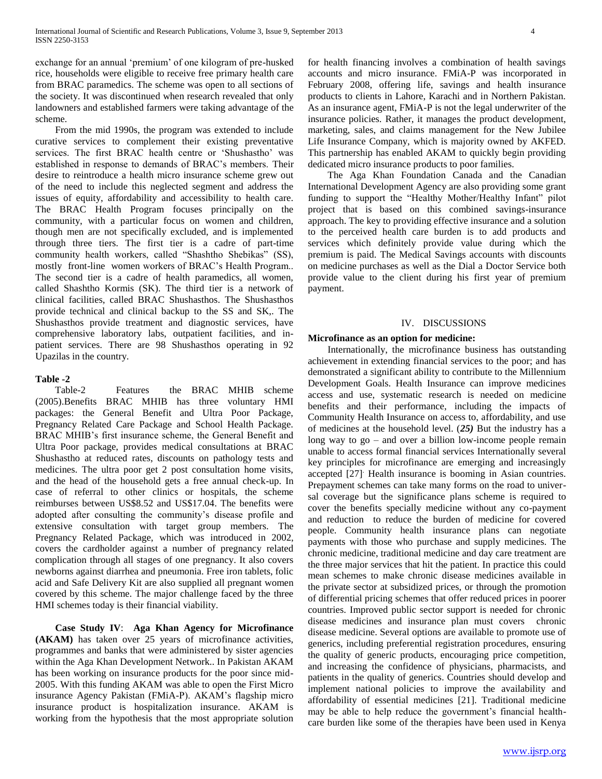exchange for an annual 'premium' of one kilogram of pre-husked rice, households were eligible to receive free primary health care from BRAC paramedics. The scheme was open to all sections of the society. It was discontinued when research revealed that only landowners and established farmers were taking advantage of the scheme.

 From the mid 1990s, the program was extended to include curative services to complement their existing preventative services. The first BRAC health centre or 'Shushastho' was established in response to demands of BRAC's members. Their desire to reintroduce a health micro insurance scheme grew out of the need to include this neglected segment and address the issues of equity, affordability and accessibility to health care. The BRAC Health Program focuses principally on the community, with a particular focus on women and children, though men are not specifically excluded, and is implemented through three tiers. The first tier is a cadre of part-time community health workers, called "Shashtho Shebikas" (SS), mostly front-line women workers of BRAC's Health Program.. The second tier is a cadre of health paramedics, all women, called Shashtho Kormis (SK). The third tier is a network of clinical facilities, called BRAC Shushasthos. The Shushasthos provide technical and clinical backup to the SS and SK,. The Shushasthos provide treatment and diagnostic services, have comprehensive laboratory labs, outpatient facilities, and inpatient services. There are 98 Shushasthos operating in 92 Upazilas in the country.

## **Table -2**

 Table-2 Features the BRAC MHIB scheme (2005).Benefits BRAC MHIB has three voluntary HMI packages: the General Benefit and Ultra Poor Package, Pregnancy Related Care Package and School Health Package. BRAC MHIB's first insurance scheme, the General Benefit and Ultra Poor package, provides medical consultations at BRAC Shushastho at reduced rates, discounts on pathology tests and medicines. The ultra poor get 2 post consultation home visits, and the head of the household gets a free annual check-up. In case of referral to other clinics or hospitals, the scheme reimburses between US\$8.52 and US\$17.04. The benefits were adopted after consulting the community's disease profile and extensive consultation with target group members. The Pregnancy Related Package, which was introduced in 2002, covers the cardholder against a number of pregnancy related complication through all stages of one pregnancy. It also covers newborns against diarrhea and pneumonia. Free iron tablets, folic acid and Safe Delivery Kit are also supplied all pregnant women covered by this scheme. The major challenge faced by the three HMI schemes today is their financial viability.

 **Case Study IV**: **Aga Khan Agency for Microfinance (AKAM)** has taken over 25 years of microfinance activities, programmes and banks that were administered by sister agencies within the Aga Khan Development Network.. In Pakistan AKAM has been working on insurance products for the poor since mid-2005. With this funding AKAM was able to open the First Micro insurance Agency Pakistan (FMiA-P). AKAM's flagship micro insurance product is hospitalization insurance. AKAM is working from the hypothesis that the most appropriate solution

for health financing involves a combination of health savings accounts and micro insurance. FMiA-P was incorporated in February 2008, offering life, savings and health insurance products to clients in Lahore, Karachi and in Northern Pakistan. As an insurance agent, FMiA-P is not the legal underwriter of the insurance policies. Rather, it manages the product development, marketing, sales, and claims management for the New Jubilee Life Insurance Company, which is majority owned by AKFED. This partnership has enabled AKAM to quickly begin providing dedicated micro insurance products to poor families.

 The Aga Khan Foundation Canada and the Canadian International Development Agency are also providing some grant funding to support the "Healthy Mother/Healthy Infant" pilot project that is based on this combined savings-insurance approach. The key to providing effective insurance and a solution to the perceived health care burden is to add products and services which definitely provide value during which the premium is paid. The Medical Savings accounts with discounts on medicine purchases as well as the Dial a Doctor Service both provide value to the client during his first year of premium payment.

#### IV. DISCUSSIONS

#### **Microfinance as an option for medicine:**

 Internationally, the microfinance business has outstanding achievement in extending financial services to the poor; and has demonstrated a significant ability to contribute to the Millennium Development Goals. Health Insurance can improve medicines access and use, systematic research is needed on medicine benefits and their performance, including the impacts of Community Health Insurance on access to, affordability, and use of medicines at the household level. (*25)* But the industry has a long way to go – and over a billion low-income people remain unable to access formal financial services Internationally several key principles for microfinance are emerging and increasingly accepted [27]. Health insurance is booming in Asian countries. Prepayment schemes can take many forms on the road to universal coverage but the significance plans scheme is required to cover the benefits specially medicine without any co-payment and reduction to reduce the burden of medicine for covered people. Community health insurance plans can negotiate payments with those who purchase and supply medicines. The chronic medicine, traditional medicine and day care treatment are the three major services that hit the patient. In practice this could mean schemes to make chronic disease medicines available in the private sector at subsidized prices, or through the promotion of differential pricing schemes that offer reduced prices in poorer countries. Improved public sector support is needed for chronic disease medicines and insurance plan must covers chronic disease medicine. Several options are available to promote use of generics, including preferential registration procedures, ensuring the quality of generic products, encouraging price competition, and increasing the confidence of physicians, pharmacists, and patients in the quality of generics. Countries should develop and implement national policies to improve the availability and affordability of essential medicines [21]. Traditional medicine may be able to help reduce the government's financial healthcare burden like some of the therapies have been used in Kenya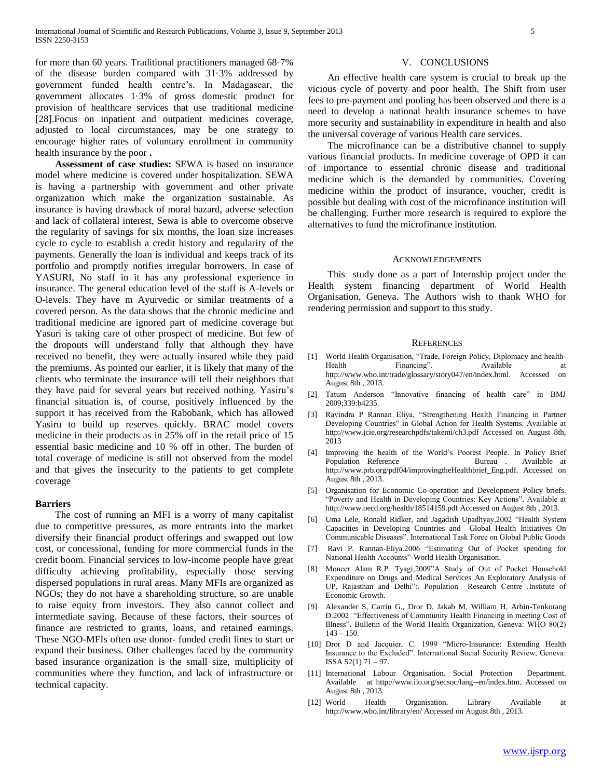for more than 60 years. Traditional practitioners managed 68·7% of the disease burden compared with 31·3% addressed by government funded health centre's. In Madagascar, the government allocates 1·3% of gross domestic product for provision of healthcare services that use traditional medicine [28].Focus on inpatient and outpatient medicines coverage, adjusted to local circumstances, may be one strategy to encourage higher rates of voluntary enrollment in community health insurance by the poor **.**

 **Assessment of case studies:** SEWA is based on insurance model where medicine is covered under hospitalization. SEWA is having a partnership with government and other private organization which make the organization sustainable. As insurance is having drawback of moral hazard, adverse selection and lack of collateral interest, Sewa is able to overcome observe the regularity of savings for six months, the loan size increases cycle to cycle to establish a credit history and regularity of the payments. Generally the loan is individual and keeps track of its portfolio and promptly notifies irregular borrowers. In case of YASURI, No staff in it has any professional experience in insurance. The general education level of the staff is A-levels or O-levels. They have m Ayurvedic or similar treatments of a covered person. As the data shows that the chronic medicine and traditional medicine are ignored part of medicine coverage but Yasuri is taking care of other prospect of medicine. But few of the dropouts will understand fully that although they have received no benefit, they were actually insured while they paid the premiums. As pointed our earlier, it is likely that many of the clients who terminate the insurance will tell their neighbors that they have paid for several years but received nothing. Yasiru's financial situation is, of course, positively influenced by the support it has received from the Rabobank, which has allowed Yasiru to build up reserves quickly. BRAC model covers medicine in their products as in 25% off in the retail price of 15 essential basic medicine and 10 % off in other. The burden of total coverage of medicine is still not observed from the model and that gives the insecurity to the patients to get complete coverage

## **Barriers**

 The cost of running an MFI is a worry of many capitalist due to competitive pressures, as more entrants into the market diversify their financial product offerings and swapped out low cost, or concessional, funding for more commercial funds in the credit boom. Financial services to low-income people have great difficulty achieving profitability, especially those serving dispersed populations in rural areas. Many MFIs are organized as NGOs; they do not have a shareholding structure, so are unable to raise equity from investors. They also cannot collect and intermediate saving. Because of these factors, their sources of finance are restricted to grants, loans, and retained earnings. These NGO-MFIs often use donor- funded credit lines to start or expand their business. Other challenges faced by the community based insurance organization is the small size, multiplicity of communities where they function, and lack of infrastructure or technical capacity.

#### V. CONCLUSIONS

 An effective health care system is crucial to break up the vicious cycle of poverty and poor health. The Shift from user fees to pre-payment and pooling has been observed and there is a need to develop a national health insurance schemes to have more security and sustainability in expenditure in health and also the universal coverage of various Health care services.

 The microfinance can be a distributive channel to supply various financial products. In medicine coverage of OPD it can of importance to essential chronic disease and traditional medicine which is the demanded by communities. Covering medicine within the product of insurance, voucher, credit is possible but dealing with cost of the microfinance institution will be challenging. Further more research is required to explore the alternatives to fund the microfinance institution.

#### ACKNOWLEDGEMENTS

 This study done as a part of Internship project under the Health system financing department of World Health Organisation, Geneva. The Authors wish to thank WHO for rendering permission and support to this study.

#### **REFERENCES**

- [1] World Health Organisation, "Trade, Foreign Policy, Diplomacy and health-Health Financing". Available at http://www.who.int/trade/glossary/story047/en/index.html. Accessed on August 8th , 2013.
- [2] Tatum Anderson "Innovative financing of health care" in BMJ 2009;339:b4235.
- [3] Ravindra P Rannan Eliya, "Strengthening Health Financing in Partner Developing Countries" in Global Action for Health Systems. Available at http://www.jcie.org/researchpdfs/takemi/ch3.pdf Accessed on August 8th, 2013
- [4] Improving the health of the World's Poorest People. In Policy Brief Population Reference Bureau . Available at http://www.prb.org/pdf04/improvingtheHealthbrief\_Eng.pdf. Accessed on August 8th , 2013.
- [5] Organisation for Economic Co-operation and Development Policy briefs. "Poverty and Health in Developing Countries: Key Actions". Available at http://www.oecd.org/health/18514159.pdf Accessed on August 8th , 2013.
- [6] Uma Lele, Ronald Ridker, and Jagadish Upadhyay,2002 "Health System Capacities in Developing Countries and Global Health Initiatives On Communicable Diseases". International Task Force on Global Public Goods
- [7] Ravi P. Rannan-Eliya.2006 "Estimating Out of Pocket spending for National Health Accounts"-World Health Organisation.
- [8] Moneer Alam R.P. Tyagi,2009"A Study of Out of Pocket Household Expenditure on Drugs and Medical Services An Exploratory Analysis of UP, Rajasthan and Delhi":. Population Research Centre .Institute of Economic Growth.
- [9] Alexander S, Carrin G., Dror D, Jakab M, William H, Arhin-Tenkorang D.2002 "Effectiveness of Community Health Financing in meeting Cost of Illness". Bulletin of the World Health Organization, Geneva: WHO 80(2)  $143 - 150$ .
- [10] Dror D and Jacquier, C. 1999 "Micro-Insurance: Extending Health Insurance to the Excluded". International Social Security Review, Geneva: ISSA 52(1) 71 – 97.
- [11] International Labour Organisation. Social Protection Department. Available at http://www.ilo.org/secsoc/lang--en/index.htm. Accessed on August 8th , 2013.
- [12] World Health Organisation. Library Available at http://www.who.int/library/en/ Accessed on August 8th , 2013.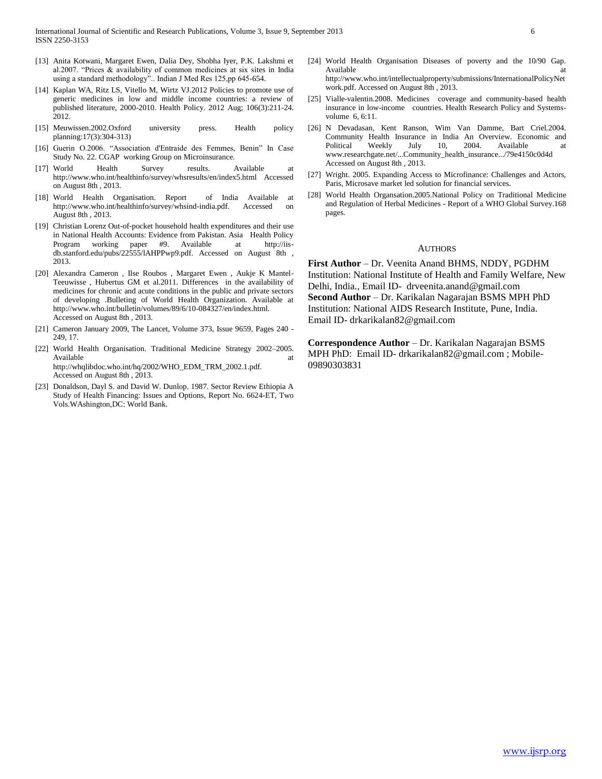- [13] Anita Kotwani, Margaret Ewen, Dalia Dey, Shobha Iyer, P.K. Lakshmi et al.2007. "Prices & availability of common medicines at six sites in India using a standard methodology".. Indian J Med Res 125,pp 645-654.
- [14] Kaplan WA, Ritz LS, Vitello M, Wirtz VJ.2012 Policies to promote use of generic medicines in low and middle income countries: a review of published literature, 2000-2010. Health Policy. 2012 Aug; 106(3):211-24. 2012.
- [15] Meuwissen.2002.Oxford university press. Health policy planning:17(3):304-313)
- [16] Guerin O.2006. "Association d'Entraide des Femmes, Benin" In Case Study No. 22. CGAP working Group on Microinsurance.
- [17] World Health Survey results. Available at http://www.who.int/healthinfo/survey/whsresults/en/index5.html Accessed on August 8th , 2013.
- [18] World Health Organisation. Report of India Available at http://www.who.int/healthinfo/survey/whsind-india.pdf. Accessed on August 8th , 2013.
- [19] Christian Lorenz Out-of-pocket household health expenditures and their use in National Health Accounts: Evidence from Pakistan. Asia Health Policy Program working paper #9. Available at http://iisdb.stanford.edu/pubs/22555/lAHPPwp9.pdf. Accessed on August 8th , 2013.
- [20] Alexandra Cameron , Ilse Roubos , Margaret Ewen , Aukje K Mantel-Teeuwisse , Hubertus GM et al.2011. Differences in the availability of medicines for chronic and acute conditions in the public and private sectors of developing .Bulleting of World Health Organization. Available at http://www.who.int/bulletin/volumes/89/6/10-084327/en/index.html. Accessed on August 8th , 2013.
- [21] Cameron January 2009, The Lancet, Volume 373, Issue 9659, Pages 240 249, 17.
- [22] World Health Organisation. Traditional Medicine Strategy 2002–2005. Available at the state of the state at the state at the state at a state at a state at a state at a state at a http://whqlibdoc.who.int/hq/2002/WHO\_EDM\_TRM\_2002.1.pdf. Accessed on August 8th , 2013.
- [23] Donaldson, Dayl S. and David W. Dunlop. 1987. Sector Review Ethiopia A Study of Health Financing: Issues and Options, Report No. 6624-ET, Two Vols.WAshington,DC: World Bank.
- [24] World Health Organisation Diseases of poverty and the 10/90 Gap. Available at a structure of the structure of the structure at a structure of the structure of the structure at  $\alpha$ http://www.who.int/intellectualproperty/submissions/InternationalPolicyNet work.pdf. Accessed on August 8th , 2013.
- [25] Vialle-valentin.2008. Medicines coverage and community-based health insurance in low-income countries. Health Research Policy and Systemsvolume 6, 6:11.
- [26] N Devadasan, Kent Ranson, Wim Van Damme, Bart Criel.2004. Community Health Insurance in India An Overview. Economic and Political Weekly July 10, 2004. Available at Political Weekly July 10, 2004. Available at www.researchgate.net/...Community\_health\_insurance.../79e4150c0d4d Accessed on August 8th , 2013.
- [27] Wright. 2005. Expanding Access to Microfinance: Challenges and Actors, Paris, Microsave market led solution for financial services.
- [28] World Health Organsation.2005.National Policy on Traditional Medicine and Regulation of Herbal Medicines - Report of a WHO Global Survey.168 pages.

#### AUTHORS

**First Author** – Dr. Veenita Anand BHMS, NDDY, PGDHM Institution: National Institute of Health and Family Welfare, New Delhi, India., Email ID- drveenita.anand@gmail.com **Second Author** – Dr. Karikalan Nagarajan BSMS MPH PhD Institution: National AIDS Research Institute, Pune, India. Email ID- drkarikalan82@gmail.com

**Correspondence Author** – Dr. Karikalan Nagarajan BSMS MPH PhD: Email ID- drkarikalan82@gmail.com ; Mobile-09890303831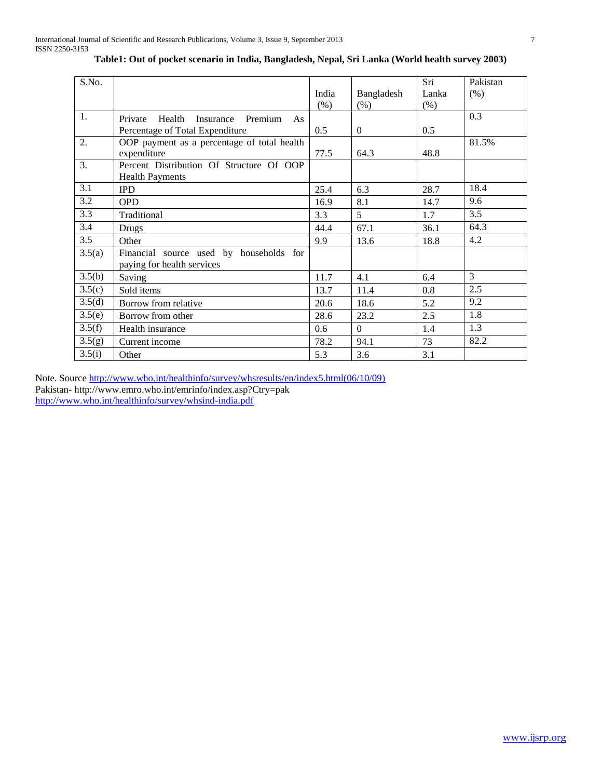| S.No.  |                                                                                    | India<br>(% ) | Bangladesh<br>(% ) | Sri<br>Lanka<br>(% ) | Pakistan<br>(% ) |
|--------|------------------------------------------------------------------------------------|---------------|--------------------|----------------------|------------------|
| 1.     | Health<br>Insurance<br>Premium<br>Private<br>As<br>Percentage of Total Expenditure | 0.5           | $\overline{0}$     | 0.5                  | 0.3              |
| 2.     | OOP payment as a percentage of total health<br>expenditure                         | 77.5          | 64.3               | 48.8                 | 81.5%            |
| 3.     | Percent Distribution Of Structure Of OOP<br><b>Health Payments</b>                 |               |                    |                      |                  |
| 3.1    | <b>IPD</b>                                                                         | 25.4          | 6.3                | 28.7                 | 18.4             |
| 3.2    | <b>OPD</b>                                                                         | 16.9          | 8.1                | 14.7                 | 9.6              |
| 3.3    | Traditional                                                                        | 3.3           | 5 <sup>5</sup>     | 1.7                  | 3.5              |
| 3.4    | <b>Drugs</b>                                                                       | 44.4          | 67.1               | 36.1                 | 64.3             |
| 3.5    | Other                                                                              | 9.9           | 13.6               | 18.8                 | 4.2              |
| 3.5(a) | Financial source used by households for<br>paying for health services              |               |                    |                      |                  |
| 3.5(b) | Saving                                                                             | 11.7          | 4.1                | 6.4                  | 3                |
| 3.5(c) | Sold items                                                                         | 13.7          | 11.4               | 0.8                  | 2.5              |
| 3.5(d) | Borrow from relative                                                               | 20.6          | 18.6               | 5.2                  | 9.2              |
| 3.5(e) | Borrow from other                                                                  | 28.6          | 23.2               | 2.5                  | 1.8              |
| 3.5(f) | Health insurance                                                                   | 0.6           | $\Omega$           | 1.4                  | 1.3              |
| 3.5(g) | Current income                                                                     | 78.2          | 94.1               | 73                   | 82.2             |
| 3.5(i) | Other                                                                              | 5.3           | 3.6                | 3.1                  |                  |

# **Table1: Out of pocket scenario in India, Bangladesh, Nepal, Sri Lanka (World health survey 2003)**

Note. Sourc[e http://www.who.int/healthinfo/survey/whsresults/en/index5.html\(06/10/09\)](http://www.who.int/healthinfo/survey/whsresults/en/index5.html(06/10/09)) Pakistan- http://www.emro.who.int/emrinfo/index.asp?Ctry=pak

<http://www.who.int/healthinfo/survey/whsind-india.pdf>